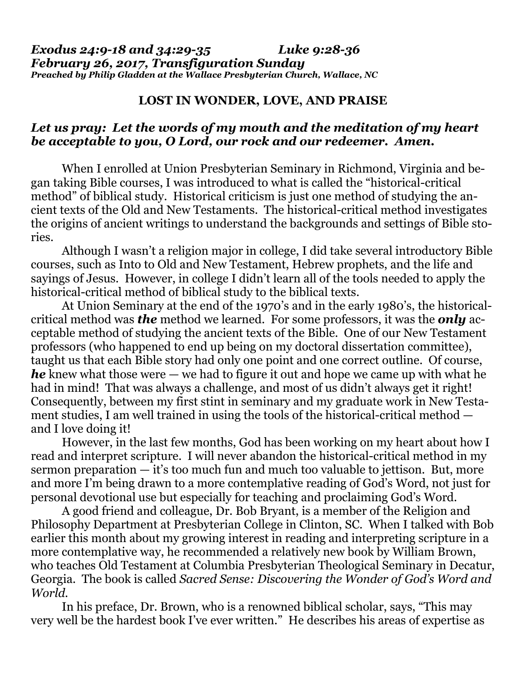## **LOST IN WONDER, LOVE, AND PRAISE**

## *Let us pray: Let the words of my mouth and the meditation of my heart be acceptable to you, O Lord, our rock and our redeemer. Amen.*

When I enrolled at Union Presbyterian Seminary in Richmond, Virginia and began taking Bible courses, I was introduced to what is called the "historical-critical method" of biblical study. Historical criticism is just one method of studying the ancient texts of the Old and New Testaments. The historical-critical method investigates the origins of ancient writings to understand the backgrounds and settings of Bible stories.

Although I wasn't a religion major in college, I did take several introductory Bible courses, such as Into to Old and New Testament, Hebrew prophets, and the life and sayings of Jesus. However, in college I didn't learn all of the tools needed to apply the historical-critical method of biblical study to the biblical texts.

At Union Seminary at the end of the 1970's and in the early 1980's, the historicalcritical method was *the* method we learned. For some professors, it was the *only* acceptable method of studying the ancient texts of the Bible. One of our New Testament professors (who happened to end up being on my doctoral dissertation committee), taught us that each Bible story had only one point and one correct outline. Of course, *he* knew what those were — we had to figure it out and hope we came up with what he had in mind! That was always a challenge, and most of us didn't always get it right! Consequently, between my first stint in seminary and my graduate work in New Testament studies, I am well trained in using the tools of the historical-critical method and I love doing it!

However, in the last few months, God has been working on my heart about how I read and interpret scripture. I will never abandon the historical-critical method in my sermon preparation — it's too much fun and much too valuable to jettison. But, more and more I'm being drawn to a more contemplative reading of God's Word, not just for personal devotional use but especially for teaching and proclaiming God's Word.

A good friend and colleague, Dr. Bob Bryant, is a member of the Religion and Philosophy Department at Presbyterian College in Clinton, SC. When I talked with Bob earlier this month about my growing interest in reading and interpreting scripture in a more contemplative way, he recommended a relatively new book by William Brown, who teaches Old Testament at Columbia Presbyterian Theological Seminary in Decatur, Georgia. The book is called *Sacred Sense: Discovering the Wonder of God's Word and World.*

In his preface, Dr. Brown, who is a renowned biblical scholar, says, "This may very well be the hardest book I've ever written." He describes his areas of expertise as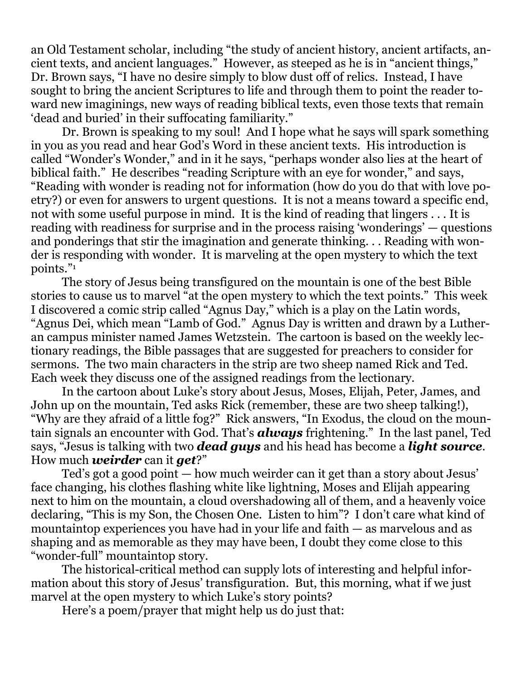an Old Testament scholar, including "the study of ancient history, ancient artifacts, ancient texts, and ancient languages." However, as steeped as he is in "ancient things," Dr. Brown says, "I have no desire simply to blow dust off of relics. Instead, I have sought to bring the ancient Scriptures to life and through them to point the reader toward new imaginings, new ways of reading biblical texts, even those texts that remain 'dead and buried' in their suffocating familiarity."

Dr. Brown is speaking to my soul! And I hope what he says will spark something in you as you read and hear God's Word in these ancient texts. His introduction is called "Wonder's Wonder," and in it he says, "perhaps wonder also lies at the heart of biblical faith." He describes "reading Scripture with an eye for wonder," and says, "Reading with wonder is reading not for information (how do you do that with love poetry?) or even for answers to urgent questions. It is not a means toward a specific end, not with some useful purpose in mind. It is the kind of reading that lingers . . . It is reading with readiness for surprise and in the process raising 'wonderings' — questions and ponderings that stir the imagination and generate thinking. . . Reading with wonder is responding with wonder. It is marveling at the open mystery to which the text points."<sup>1</sup>

The story of Jesus being transfigured on the mountain is one of the best Bible stories to cause us to marvel "at the open mystery to which the text points." This week I discovered a comic strip called "Agnus Day," which is a play on the Latin words, "Agnus Dei, which mean "Lamb of God." Agnus Day is written and drawn by a Lutheran campus minister named James Wetzstein. The cartoon is based on the weekly lectionary readings, the Bible passages that are suggested for preachers to consider for sermons. The two main characters in the strip are two sheep named Rick and Ted. Each week they discuss one of the assigned readings from the lectionary.

In the cartoon about Luke's story about Jesus, Moses, Elijah, Peter, James, and John up on the mountain, Ted asks Rick (remember, these are two sheep talking!), "Why are they afraid of a little fog?" Rick answers, "In Exodus, the cloud on the mountain signals an encounter with God. That's *always* frightening." In the last panel, Ted says, "Jesus is talking with two *dead guys* and his head has become a *light source*. How much *weirder* can it *get*?"

Ted's got a good point — how much weirder can it get than a story about Jesus' face changing, his clothes flashing white like lightning, Moses and Elijah appearing next to him on the mountain, a cloud overshadowing all of them, and a heavenly voice declaring, "This is my Son, the Chosen One. Listen to him"? I don't care what kind of mountaintop experiences you have had in your life and faith — as marvelous and as shaping and as memorable as they may have been, I doubt they come close to this "wonder-full" mountaintop story.

The historical-critical method can supply lots of interesting and helpful information about this story of Jesus' transfiguration. But, this morning, what if we just marvel at the open mystery to which Luke's story points?

Here's a poem/prayer that might help us do just that: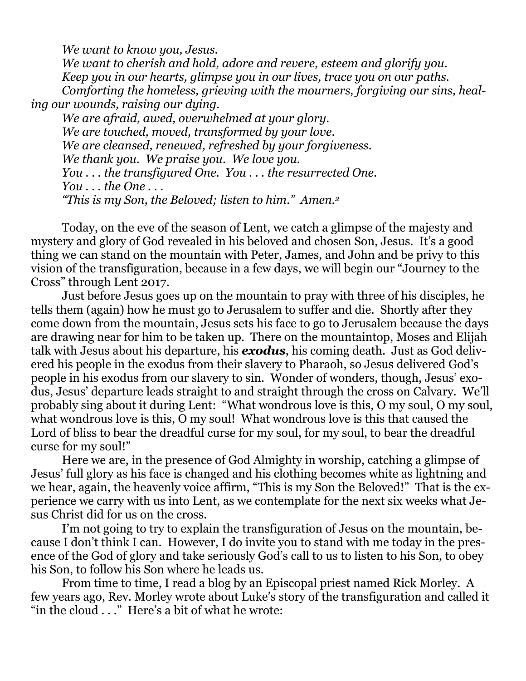*We want to know you, Jesus.*

*We want to cherish and hold, adore and revere, esteem and glorify you. Keep you in our hearts, glimpse you in our lives, trace you on our paths. Comforting the homeless, grieving with the mourners, forgiving our sins, healing our wounds, raising our dying. We are afraid, awed, overwhelmed at your glory.*

*We are touched, moved, transformed by your love. We are cleansed, renewed, refreshed by your forgiveness. We thank you. We praise you. We love you. You . . . the transfigured One. You . . . the resurrected One. You . . . the One . . . "This is my Son, the Beloved; listen to him." Amen.<sup>2</sup>*

Today, on the eve of the season of Lent, we catch a glimpse of the majesty and mystery and glory of God revealed in his beloved and chosen Son, Jesus. It's a good thing we can stand on the mountain with Peter, James, and John and be privy to this vision of the transfiguration, because in a few days, we will begin our "Journey to the Cross" through Lent 2017.

Just before Jesus goes up on the mountain to pray with three of his disciples, he tells them (again) how he must go to Jerusalem to suffer and die. Shortly after they come down from the mountain, Jesus sets his face to go to Jerusalem because the days are drawing near for him to be taken up. There on the mountaintop, Moses and Elijah talk with Jesus about his departure, his *exodus*, his coming death. Just as God delivered his people in the exodus from their slavery to Pharaoh, so Jesus delivered God's people in his exodus from our slavery to sin. Wonder of wonders, though, Jesus' exodus, Jesus' departure leads straight to and straight through the cross on Calvary. We'll probably sing about it during Lent: "What wondrous love is this, O my soul, O my soul, what wondrous love is this, O my soul! What wondrous love is this that caused the Lord of bliss to bear the dreadful curse for my soul, for my soul, to bear the dreadful curse for my soul!"

Here we are, in the presence of God Almighty in worship, catching a glimpse of Jesus' full glory as his face is changed and his clothing becomes white as lightning and we hear, again, the heavenly voice affirm, "This is my Son the Beloved!" That is the experience we carry with us into Lent, as we contemplate for the next six weeks what Jesus Christ did for us on the cross.

I'm not going to try to explain the transfiguration of Jesus on the mountain, because I don't think I can. However, I do invite you to stand with me today in the presence of the God of glory and take seriously God's call to us to listen to his Son, to obey his Son, to follow his Son where he leads us.

From time to time, I read a blog by an Episcopal priest named Rick Morley. A few years ago, Rev. Morley wrote about Luke's story of the transfiguration and called it "in the cloud . . ." Here's a bit of what he wrote: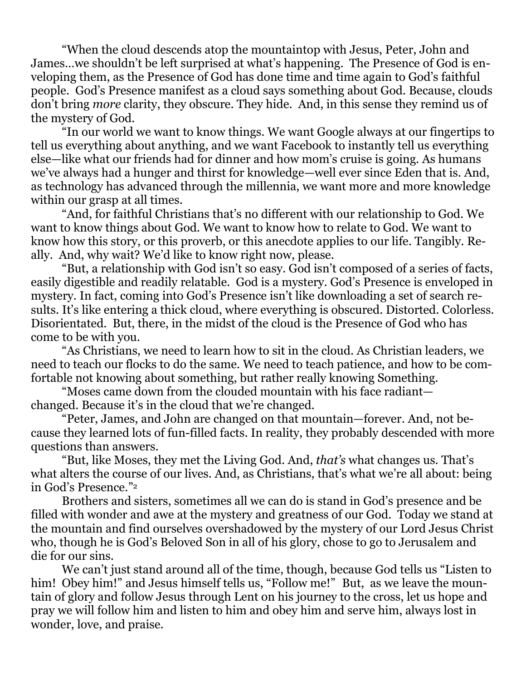"When the cloud descends atop the mountaintop with Jesus, Peter, John and James…we shouldn't be left surprised at what's happening. The Presence of God is enveloping them, as the Presence of God has done time and time again to God's faithful people. God's Presence manifest as a cloud says something about God. Because, clouds don't bring *more* clarity, they obscure. They hide. And, in this sense they remind us of the mystery of God.

"In our world we want to know things. We want Google always at our fingertips to tell us everything about anything, and we want Facebook to instantly tell us everything else—like what our friends had for dinner and how mom's cruise is going. As humans we've always had a hunger and thirst for knowledge—well ever since Eden that is. And, as technology has advanced through the millennia, we want more and more knowledge within our grasp at all times.

"And, for faithful Christians that's no different with our relationship to God. We want to know things about God. We want to know how to relate to God. We want to know how this story, or this proverb, or this anecdote applies to our life. Tangibly. Really. And, why wait? We'd like to know right now, please.

"But, a relationship with God isn't so easy. God isn't composed of a series of facts, easily digestible and readily relatable. God is a mystery. God's Presence is enveloped in mystery. In fact, coming into God's Presence isn't like downloading a set of search results. It's like entering a thick cloud, where everything is obscured. Distorted. Colorless. Disorientated. But, there, in the midst of the cloud is the Presence of God who has come to be with you.

"As Christians, we need to learn how to sit in the cloud. As Christian leaders, we need to teach our flocks to do the same. We need to teach patience, and how to be comfortable not knowing about something, but rather really knowing Something.

"Moses came down from the clouded mountain with his face radiant changed. Because it's in the cloud that we're changed.

"Peter, James, and John are changed on that mountain—forever. And, not because they learned lots of fun-filled facts. In reality, they probably descended with more questions than answers.

"But, like Moses, they met the Living God. And, *that's* what changes us. That's what alters the course of our lives. And, as Christians, that's what we're all about: being in God's Presence." 2

Brothers and sisters, sometimes all we can do is stand in God's presence and be filled with wonder and awe at the mystery and greatness of our God. Today we stand at the mountain and find ourselves overshadowed by the mystery of our Lord Jesus Christ who, though he is God's Beloved Son in all of his glory, chose to go to Jerusalem and die for our sins.

We can't just stand around all of the time, though, because God tells us "Listen to him! Obey him!" and Jesus himself tells us, "Follow me!" But, as we leave the mountain of glory and follow Jesus through Lent on his journey to the cross, let us hope and pray we will follow him and listen to him and obey him and serve him, always lost in wonder, love, and praise.